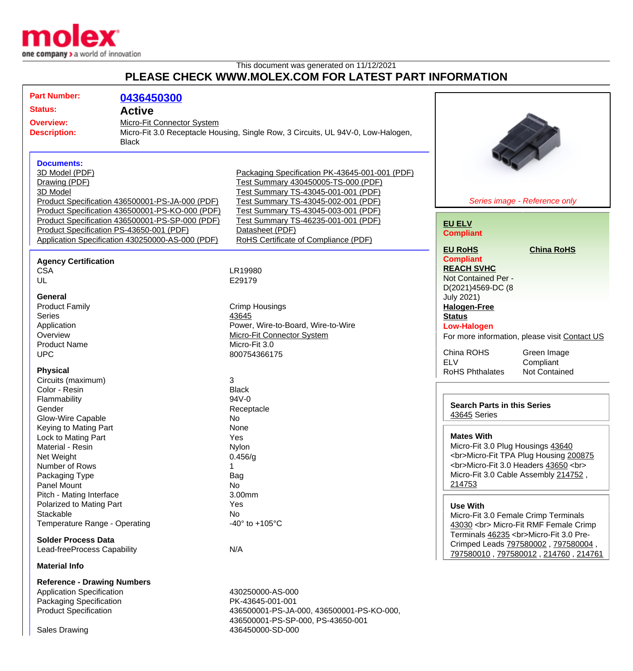

## This document was generated on 11/12/2021 **PLEASE CHECK WWW.MOLEX.COM FOR LATEST PART INFORMATION**

| <b>Part Number:</b>                                                                                                                                    | 0436450300                                                                                                                                                                                                                                            |                                                                                                                                                                                                                                                                                                              |                                                                                                                                                                                          |
|--------------------------------------------------------------------------------------------------------------------------------------------------------|-------------------------------------------------------------------------------------------------------------------------------------------------------------------------------------------------------------------------------------------------------|--------------------------------------------------------------------------------------------------------------------------------------------------------------------------------------------------------------------------------------------------------------------------------------------------------------|------------------------------------------------------------------------------------------------------------------------------------------------------------------------------------------|
| <b>Status:</b>                                                                                                                                         | <b>Active</b>                                                                                                                                                                                                                                         |                                                                                                                                                                                                                                                                                                              |                                                                                                                                                                                          |
| <b>Overview:</b><br><b>Description:</b>                                                                                                                | Micro-Fit Connector System<br>Micro-Fit 3.0 Receptacle Housing, Single Row, 3 Circuits, UL 94V-0, Low-Halogen,<br><b>Black</b>                                                                                                                        |                                                                                                                                                                                                                                                                                                              |                                                                                                                                                                                          |
| <b>Documents:</b><br>3D Model (PDF)<br>Drawing (PDF)<br>3D Model                                                                                       | Product Specification 436500001-PS-JA-000 (PDF)<br>Product Specification 436500001-PS-KO-000 (PDF)<br>Product Specification 436500001-PS-SP-000 (PDF)<br>Product Specification PS-43650-001 (PDF)<br>Application Specification 430250000-AS-000 (PDF) | Packaging Specification PK-43645-001-001 (PDF)<br>Test Summary 430450005-TS-000 (PDF)<br>Test Summary TS-43045-001-001 (PDF)<br>Test Summary TS-43045-002-001 (PDF)<br>Test Summary TS-43045-003-001 (PDF)<br>Test Summary TS-46235-001-001 (PDF)<br>Datasheet (PDF)<br>RoHS Certificate of Compliance (PDF) | Series image - Reference only<br><b>EU ELV</b><br><b>Compliant</b>                                                                                                                       |
| <b>Agency Certification</b><br><b>CSA</b><br>UL                                                                                                        |                                                                                                                                                                                                                                                       | LR19980<br>E29179                                                                                                                                                                                                                                                                                            | <b>EU RoHS</b><br><b>China RoHS</b><br><b>Compliant</b><br><b>REACH SVHC</b><br>Not Contained Per -<br>D(2021)4569-DC (8                                                                 |
| General<br><b>Product Family</b><br><b>Series</b><br>Application<br>Overview<br><b>Product Name</b><br><b>UPC</b>                                      |                                                                                                                                                                                                                                                       | <b>Crimp Housings</b><br>43645<br>Power, Wire-to-Board, Wire-to-Wire<br><b>Micro-Fit Connector System</b><br>Micro-Fit 3.0<br>800754366175                                                                                                                                                                   | <b>July 2021)</b><br><b>Halogen-Free</b><br><b>Status</b><br><b>Low-Halogen</b><br>For more information, please visit Contact US<br>China ROHS<br>Green Image                            |
| <b>Physical</b><br>Circuits (maximum)<br>Color - Resin<br>Flammability<br>Gender                                                                       |                                                                                                                                                                                                                                                       | 3<br><b>Black</b><br>94V-0<br>Receptacle                                                                                                                                                                                                                                                                     | <b>ELV</b><br>Compliant<br>Not Contained<br><b>RoHS Phthalates</b><br><b>Search Parts in this Series</b><br>43645 Series                                                                 |
| Glow-Wire Capable<br>Keying to Mating Part<br>Lock to Mating Part<br>Material - Resin<br>Net Weight<br>Number of Rows<br>Packaging Type<br>Panel Mount |                                                                                                                                                                                                                                                       | No<br>None<br>Yes<br><b>Nylon</b><br>0.456/g<br>1<br>Bag<br>No                                                                                                                                                                                                                                               | <b>Mates With</b><br>Micro-Fit 3.0 Plug Housings 43640<br><br>Micro-Fit TPA Plug Housing 200875<br><br>Micro-Fit 3.0 Headers 43650<br><br>Micro-Fit 3.0 Cable Assembly 214752,<br>214753 |
| Pitch - Mating Interface<br>Polarized to Mating Part<br>Stackable<br>Temperature Range - Operating<br><b>Solder Process Data</b>                       |                                                                                                                                                                                                                                                       | 3.00mm<br>Yes<br>No<br>-40 $\degree$ to +105 $\degree$ C                                                                                                                                                                                                                                                     | <b>Use With</b><br>Micro-Fit 3.0 Female Crimp Terminals<br>43030<br>Micro-Fit RMF Female Crimp<br>Terminals 46235<br>Micro-Fit 3.0 Pre-<br>Crimped Leads 797580002, 797580004,           |
| Lead-freeProcess Capability<br><b>Material Info</b>                                                                                                    |                                                                                                                                                                                                                                                       | N/A                                                                                                                                                                                                                                                                                                          | 797580010, 797580012, 214760, 214761                                                                                                                                                     |
| <b>Reference - Drawing Numbers</b><br><b>Application Specification</b><br>Packaging Specification<br><b>Product Specification</b>                      |                                                                                                                                                                                                                                                       | 430250000-AS-000<br>PK-43645-001-001<br>436500001-PS-JA-000, 436500001-PS-KO-000,                                                                                                                                                                                                                            |                                                                                                                                                                                          |

436500001-PS-SP-000, PS-43650-001

Sales Drawing 436450000-SD-000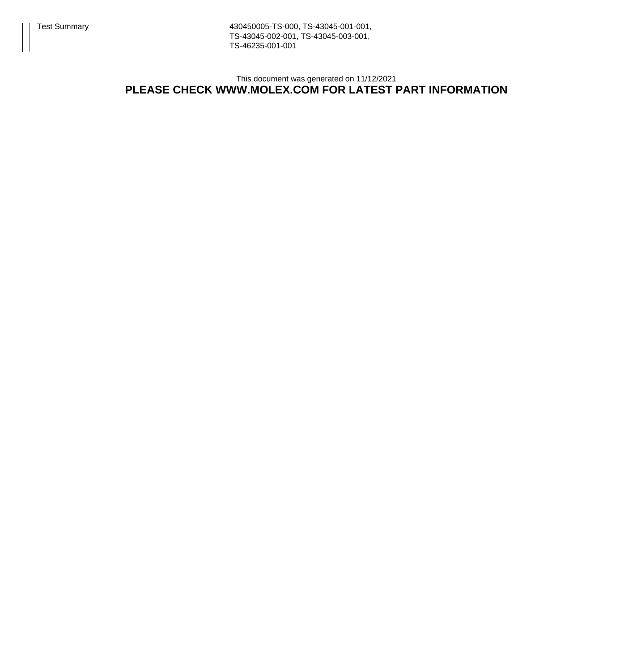Test Summary 430450005-TS-000, TS-43045-001-001, TS-43045-002-001, TS-43045-003-001, TS-46235-001-001

This document was generated on 11/12/2021

## **PLEASE CHECK WWW.MOLEX.COM FOR LATEST PART INFORMATION**